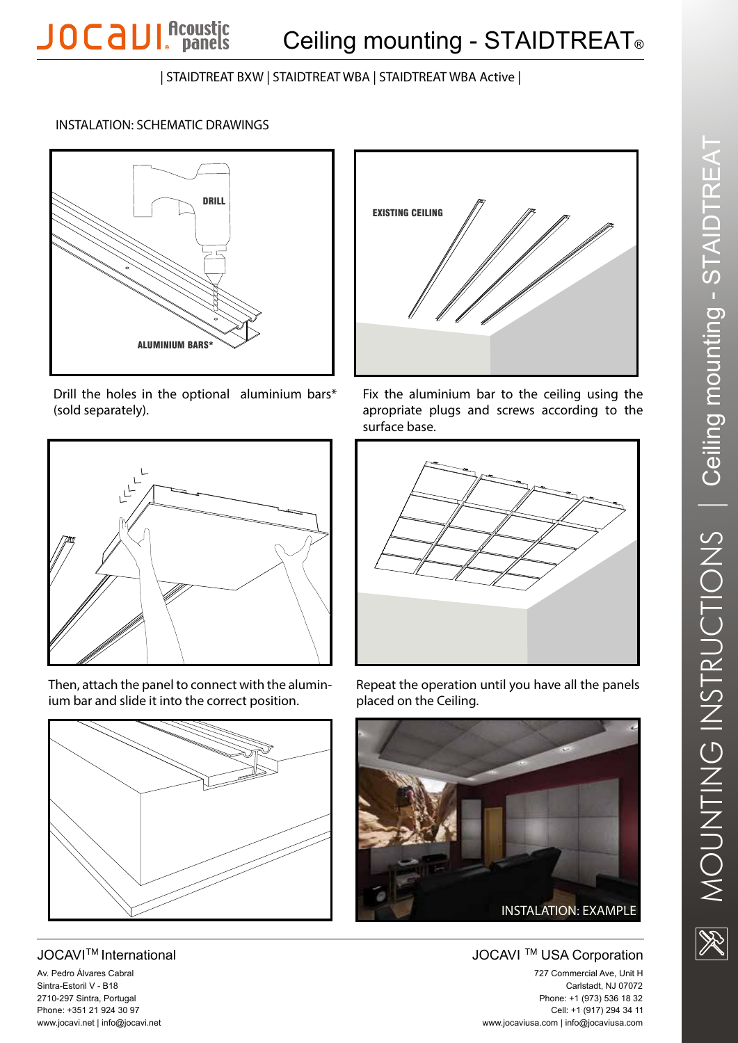| STAIDTREAT BXW | STAIDTREAT WBA | STAIDTREAT WBA Active |

## INSTALATION: SCHEMATIC DRAWINGS

**JOCAUI** Acoustic



Drill the holes in the optional aluminium bars\* (sold separately).



Then, attach the panel to connect with the alumin ium bar and slide it into the correct position.



JOC AVITM International Av. Pedro Álvares Cabral Sintra-Estoril V - B18 2710-297 Sintra, Portugal Phone: +351 21 924 30 97 ww w.jocavi.net | info@jocavi.net



Fix the aluminium bar to the ceiling using the apropriate plugs and screws according to the surface base.



Repeat the operation until you have all the panels placed on the Ceiling.



JOCAVI<sup>™</sup> USA Corporation 727 Commercial Ave, Unit H Carlstadt, NJ 07072 Phone: +1 (973) 536 18 32 Cell: +1 (917) 294 34 1 1 ww w.jocaviusa.com | info@jocaviusa.com